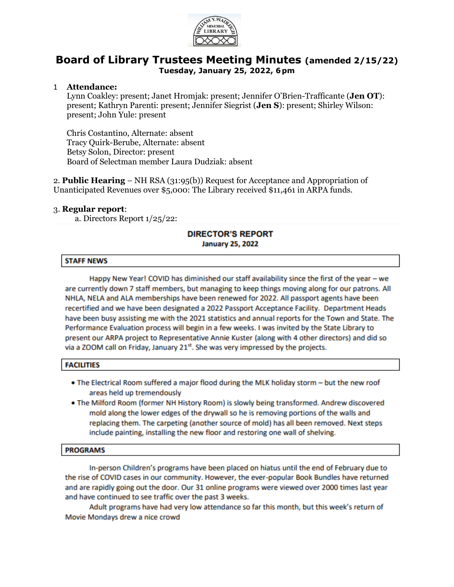

# **Board of Library Trustees Meeting Minutes (amended 2/15/22) Tuesday, January 25, 2022, 6pm**

# 1 **Attendance:**

Lynn Coakley: present; Janet Hromjak: present; Jennifer O'Brien-Trafficante (**Jen OT**): present; Kathryn Parenti: present; Jennifer Siegrist (**Jen S**): present; Shirley Wilson: present; John Yule: present

Chris Costantino, Alternate: absent Tracy Quirk-Berube, Alternate: absent Betsy Solon, Director: present Board of Selectman member Laura Dudziak: absent

2. **Public Hearing** – NH RSA (31:95(b)) Request for Acceptance and Appropriation of Unanticipated Revenues over \$5,000: The Library received \$11,461 in ARPA funds.

### 3. **Regular report**:

a. Directors Report 1/25/22:

## **DIRECTOR'S REPORT January 25, 2022**

#### **STAFF NEWS**

Happy New Year! COVID has diminished our staff availability since the first of the year - we are currently down 7 staff members, but managing to keep things moving along for our patrons. All NHLA, NELA and ALA memberships have been renewed for 2022. All passport agents have been recertified and we have been designated a 2022 Passport Acceptance Facility. Department Heads have been busy assisting me with the 2021 statistics and annual reports for the Town and State. The Performance Evaluation process will begin in a few weeks. I was invited by the State Library to present our ARPA project to Representative Annie Kuster (along with 4 other directors) and did so via a ZOOM call on Friday, January 21<sup>st</sup>. She was very impressed by the projects.

#### **FACILITIES**

- . The Electrical Room suffered a major flood during the MLK holiday storm but the new roof areas held up tremendously
- . The Milford Room (former NH History Room) is slowly being transformed. Andrew discovered mold along the lower edges of the drywall so he is removing portions of the walls and replacing them. The carpeting (another source of mold) has all been removed. Next steps include painting, installing the new floor and restoring one wall of shelving.

#### **PROGRAMS**

In-person Children's programs have been placed on hiatus until the end of February due to the rise of COVID cases in our community. However, the ever-popular Book Bundles have returned and are rapidly going out the door. Our 31 online programs were viewed over 2000 times last year and have continued to see traffic over the past 3 weeks.

Adult programs have had very low attendance so far this month, but this week's return of Movie Mondays drew a nice crowd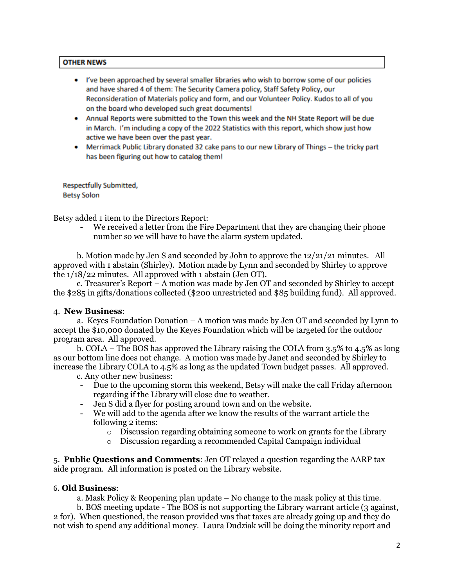## **OTHER NEWS**

- I've been approached by several smaller libraries who wish to borrow some of our policies and have shared 4 of them: The Security Camera policy, Staff Safety Policy, our Reconsideration of Materials policy and form, and our Volunteer Policy. Kudos to all of you on the board who developed such great documents!
- . Annual Reports were submitted to the Town this week and the NH State Report will be due in March. I'm including a copy of the 2022 Statistics with this report, which show just how active we have been over the past year.
- Merrimack Public Library donated 32 cake pans to our new Library of Things the tricky part has been figuring out how to catalog them!

**Respectfully Submitted, Betsy Solon** 

Betsy added 1 item to the Directors Report:

We received a letter from the Fire Department that they are changing their phone number so we will have to have the alarm system updated.

 b. Motion made by Jen S and seconded by John to approve the 12/21/21 minutes. All approved with 1 abstain (Shirley). Motion made by Lynn and seconded by Shirley to approve the 1/18/22 minutes. All approved with 1 abstain (Jen OT).

 c. Treasurer's Report – A motion was made by Jen OT and seconded by Shirley to accept the \$285 in gifts/donations collected (\$200 unrestricted and \$85 building fund). All approved.

#### 4. **New Business**:

 a. Keyes Foundation Donation – A motion was made by Jen OT and seconded by Lynn to accept the \$10,000 donated by the Keyes Foundation which will be targeted for the outdoor program area. All approved.

 b. COLA – The BOS has approved the Library raising the COLA from 3.5% to 4.5% as long as our bottom line does not change. A motion was made by Janet and seconded by Shirley to increase the Library COLA to 4.5% as long as the updated Town budget passes. All approved. c. Any other new business:

- Due to the upcoming storm this weekend, Betsy will make the call Friday afternoon regarding if the Library will close due to weather.
- Jen S did a flyer for posting around town and on the website.
- We will add to the agenda after we know the results of the warrant article the following 2 items:
	- $\circ$  Discussion regarding obtaining someone to work on grants for the Library
	- o Discussion regarding a recommended Capital Campaign individual

5. **Public Questions and Comments**: Jen OT relayed a question regarding the AARP tax aide program. All information is posted on the Library website.

#### 6. **Old Business**:

a. Mask Policy & Reopening plan update – No change to the mask policy at this time.

 b. BOS meeting update - The BOS is not supporting the Library warrant article (3 against, 2 for). When questioned, the reason provided was that taxes are already going up and they do not wish to spend any additional money. Laura Dudziak will be doing the minority report and